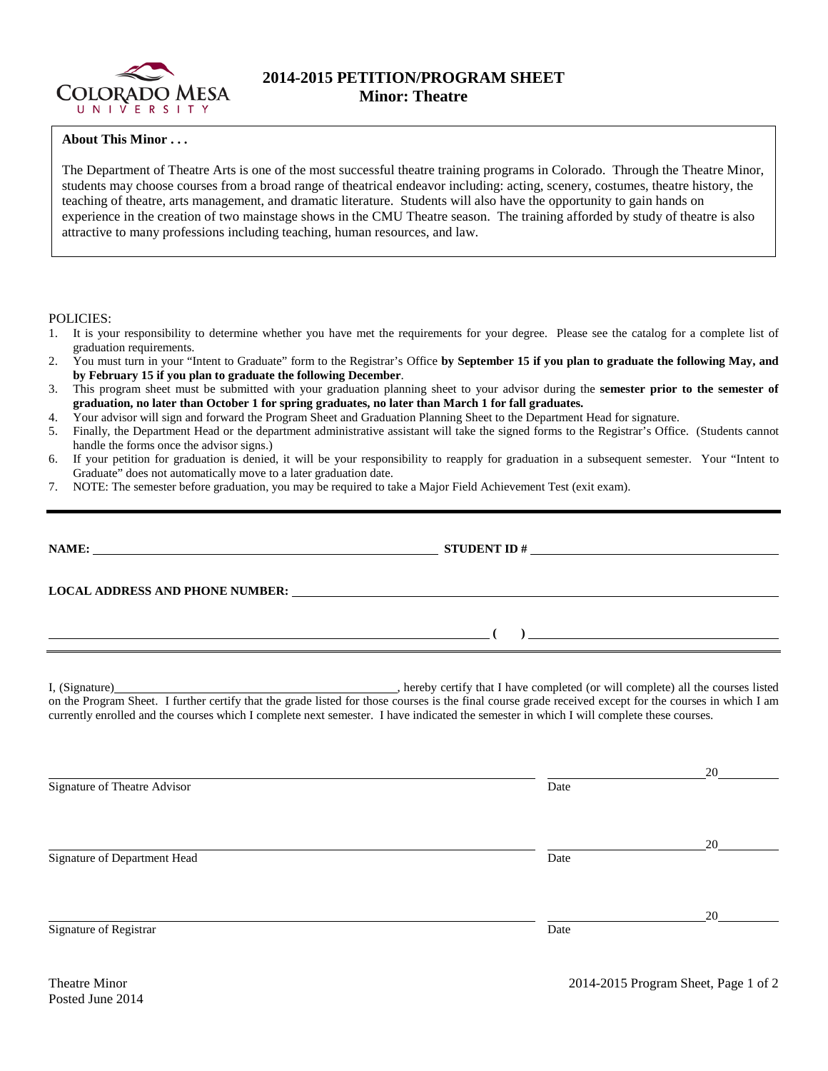

## **2014-2015 PETITION/PROGRAM SHEET Minor: Theatre**

## **About This Minor . . .**

The Department of Theatre Arts is one of the most successful theatre training programs in Colorado. Through the Theatre Minor, students may choose courses from a broad range of theatrical endeavor including: acting, scenery, costumes, theatre history, the teaching of theatre, arts management, and dramatic literature. Students will also have the opportunity to gain hands on experience in the creation of two mainstage shows in the CMU Theatre season. The training afforded by study of theatre is also attractive to many professions including teaching, human resources, and law.

POLICIES:

- 1. It is your responsibility to determine whether you have met the requirements for your degree. Please see the catalog for a complete list of graduation requirements.
- 2. You must turn in your "Intent to Graduate" form to the Registrar's Office **by September 15 if you plan to graduate the following May, and by February 15 if you plan to graduate the following December**.
- 3. This program sheet must be submitted with your graduation planning sheet to your advisor during the **semester prior to the semester of graduation, no later than October 1 for spring graduates, no later than March 1 for fall graduates.**
- 4. Your advisor will sign and forward the Program Sheet and Graduation Planning Sheet to the Department Head for signature.
- 5. Finally, the Department Head or the department administrative assistant will take the signed forms to the Registrar's Office. (Students cannot handle the forms once the advisor signs.)
- 6. If your petition for graduation is denied, it will be your responsibility to reapply for graduation in a subsequent semester. Your "Intent to Graduate" does not automatically move to a later graduation date.
- 7. NOTE: The semester before graduation, you may be required to take a Major Field Achievement Test (exit exam).

|                              | NAME: NAME:<br>STUDENT ID $\#$                                                                                                                                                                                                                                                                                                                                             |    |  |  |  |  |  |
|------------------------------|----------------------------------------------------------------------------------------------------------------------------------------------------------------------------------------------------------------------------------------------------------------------------------------------------------------------------------------------------------------------------|----|--|--|--|--|--|
|                              |                                                                                                                                                                                                                                                                                                                                                                            |    |  |  |  |  |  |
|                              | $\overline{a}$ (b) and the set of $\overline{a}$ (c) and the set of $\overline{a}$ (c) and the set of $\overline{a}$                                                                                                                                                                                                                                                       |    |  |  |  |  |  |
|                              | I, (Signature) (Signature) (Signature) (Signature) (Signature) (Signature) (Signature) all the courses listed on the Program Sheet. I further certify that the grade listed for those courses is the final course grade receiv<br>currently enrolled and the courses which I complete next semester. I have indicated the semester in which I will complete these courses. |    |  |  |  |  |  |
| Signature of Theatre Advisor | Date                                                                                                                                                                                                                                                                                                                                                                       | 20 |  |  |  |  |  |
| Signature of Department Head | Date                                                                                                                                                                                                                                                                                                                                                                       |    |  |  |  |  |  |
|                              |                                                                                                                                                                                                                                                                                                                                                                            | 20 |  |  |  |  |  |
| Signature of Registrar       | Date                                                                                                                                                                                                                                                                                                                                                                       |    |  |  |  |  |  |